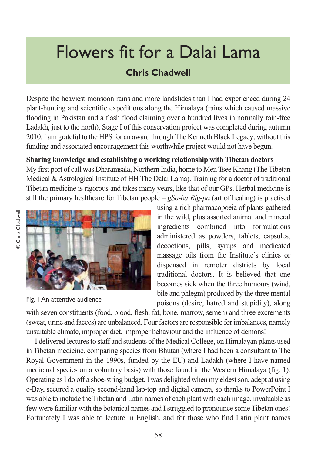# Flowers fit for a Dalai Lama

## **Chris Chadwell**

Despite the heaviest monsoon rains and more landslides than I had experienced during 24 plant-hunting and scientific expeditions along the Himalaya (rains which caused massive flooding in Pakistan and a flash flood claiming over a hundred lives in normally rain-free Ladakh, just to the north), Stage I of this conservation project was completed during autumn 2010. I am grateful to the HPS for an award through The Kenneth Black Legacy; without this funding and associated encouragement this worthwhile project would not have begun.

## **Sharing knowledge and establishing a working relationship with Tibetan doctors**

My first port of call was Dharamsala, Northern India, home to Men Tsee Khang (The Tibetan Medical & Astrological Institute of HH The Dalai Lama). Training for a doctor of traditional Tibetan medicine is rigorous and takes many years, like that of our GPs. Herbal medicine is still the primary healthcare for Tibetan people – *gSo-ba Rig-pa* (art of healing) is practised



Fig. 1 An attentive audience

using a rich pharmacopoeia of plants gathered in the wild, plus assorted animal and mineral ingredients combined into formulations administered as powders, tablets, capsules, decoctions, pills, syrups and medicated massage oils from the Institute's clinics or dispensed in remoter districts by local traditional doctors. It is believed that one becomes sick when the three humours (wind, bile and phlegm) produced by the three mental poisons (desire, hatred and stupidity), along

with seven constituents (food, blood, flesh, fat, bone, marrow, semen) and three excrements (sweat, urine and faeces) are unbalanced. Four factors are responsible for imbalances, namely unsuitable climate, improper diet, improper behaviour and the influence of demons!

I delivered lectures to staff and students of the Medical College, on Himalayan plants used in Tibetan medicine, comparing species from Bhutan (where I had been a consultant to The Royal Government in the 1990s, funded by the EU) and Ladakh (where I have named medicinal species on a voluntary basis) with those found in the Western Himalaya (fig. 1). Operating as I do off a shoe-string budget, I was delighted when my eldest son, adept at using e-Bay, secured a quality second-hand lap-top and digital camera, so thanks to PowerPoint I was able to include the Tibetan and Latin names of each plant with each image, invaluable as few were familiar with the botanical names and I struggled to pronounce some Tibetan ones! Fortunately I was able to lecture in English, and for those who find Latin plant names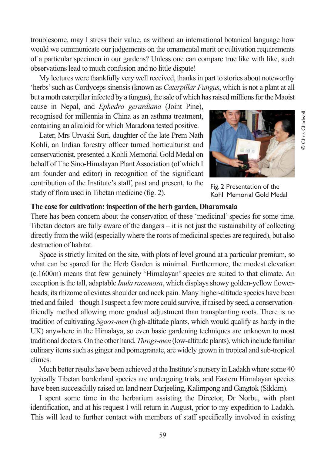troublesome, may I stress their value, as without an international botanical language how would we communicate our judgements on the ornamental merit or cultivation requirements of a particular specimen in our gardens? Unless one can compare true like with like, such observations lead to much confusion and no little dispute!

My lectures were thankfully very well received, thanks in part to stories about noteworthy 'herbs' such as Cordyceps sinensis (known as *Caterpillar Fungus*, which is not a plant at all but a moth caterpillar infected by a fungus), the sale of which has raised millions for the Maoist

cause in Nepal, and *Ephedra gerardiana* (Joint Pine), recognised for millennia in China as an asthma treatment, containing an alkaloid for which Maradona tested positive.

Later, Mrs Urvashi Suri, daughter of the late Prem Nath Kohli, an Indian forestry officer turned horticulturist and conservationist, presented a Kohli Memorial Gold Medal on behalf of The Sino-Himalayan Plant Association (of which I am founder and editor) in recognition of the significant contribution of the Institute's staff, past and present, to the study of flora used in Tibetan medicine (fig. 2).



Fig. 2 Presentation of the Kohli Memorial Gold Medal

#### **The case for cultivation: inspection of the herb garden, Dharamsala**

There has been concern about the conservation of these 'medicinal' species for some time. Tibetan doctors are fully aware of the dangers – it is not just the sustainability of collecting directly from the wild (especially where the roots of medicinal species are required), but also destruction of habitat.

Space is strictly limited on the site, with plots of level ground at a particular premium, so what can be spared for the Herb Garden is minimal. Furthermore, the modest elevation (c.1600m) means that few genuinely 'Himalayan' species are suited to that climate. An exception is the tall, adaptable *Inula racemosa*, which displays showy golden-yellow flowerheads; its rhizome alleviates shoulder and neck pain. Many higher-altitude species have been tried and failed – though I suspect a few more could survive, if raised by seed, a conservationfriendly method allowing more gradual adjustment than transplanting roots. There is no tradition of cultivating *Sgaos-men* (high-altitude plants, which would qualify as hardy in the UK) anywhere in the Himalaya, so even basic gardening techniques are unknown to most traditional doctors. On the other hand, *Throgs-men* (low-altitude plants), which include familiar culinary items such as ginger and pomegranate, are widely grown in tropical and sub-tropical climes.

Much better results have been achieved at the Institute's nursery in Ladakh where some 40 typically Tibetan borderland species are undergoing trials, and Eastern Himalayan species have been successfully raised on land near Darjeeling, Kalimpong and Gangtok (Sikkim).

I spent some time in the herbarium assisting the Director, Dr Norbu, with plant identification, and at his request I will return in August, prior to my expedition to Ladakh. This will lead to further contact with members of staff specifically involved in existing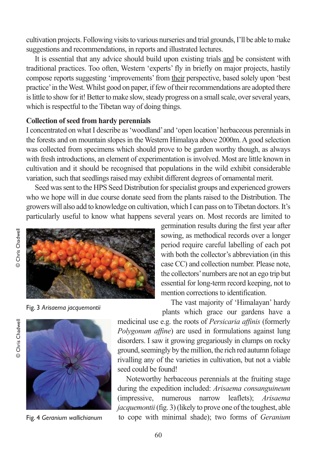cultivation projects. Following visits to various nurseries and trial grounds, I'll be able to make suggestions and recommendations, in reports and illustrated lectures.

It is essential that any advice should build upon existing trials and be consistent with traditional practices. Too often, Western 'experts' fly in briefly on major projects, hastily compose reports suggesting 'improvements' from their perspective, based solely upon 'best practice' in the West. Whilst good on paper, if few of their recommendations are adopted there is little to show for it! Better to make slow, steady progress on a small scale, over several years, which is respectful to the Tibetan way of doing things.

#### **Collection of seed from hardy perennials**

I concentrated on what I describe as 'woodland' and 'open location' herbaceous perennials in the forests and on mountain slopes in the Western Himalaya above 2000m. A good selection was collected from specimens which should prove to be garden worthy though, as always with fresh introductions, an element of experimentation is involved. Most are little known in cultivation and it should be recognised that populations in the wild exhibit considerable variation, such that seedlings raised may exhibit different degrees of ornamental merit.

Seed was sent to the HPS Seed Distribution for specialist groups and experienced growers who we hope will in due course donate seed from the plants raised to the Distribution. The growers will also add to knowledge on cultivation, which I can pass on to Tibetan doctors. It's particularly useful to know what happens several years on. Most records are limited to



Fig. 3 *Arisaema jacquemontii*



Fig. 4 *Geranium wallichianum*

germination results during the first year after sowing, as methodical records over a longer period require careful labelling of each pot with both the collector's abbreviation (in this case CC) and collection number. Please note, the collectors' numbers are not an ego trip but essential for long-term record keeping, not to mention corrections to identification.

The vast majority of 'Himalayan' hardy plants which grace our gardens have a

medicinal use e.g. the roots of *Persicaria affinis* (formerly *Polygonum affine*) are used in formulations against lung disorders. I saw it growing gregariously in clumps on rocky ground, seemingly by the million, the rich red autumn foliage rivalling any of the varieties in cultivation, but not a viable seed could be found!

Noteworthy herbaceous perennials at the fruiting stage during the expedition included: *Arisaema consanguineum* (impressive, numerous narrow leaflets); *Arisaema jacquemontii*(fig. 3) (likely to prove one of the toughest, able to cope with minimal shade); two forms of *Geranium*